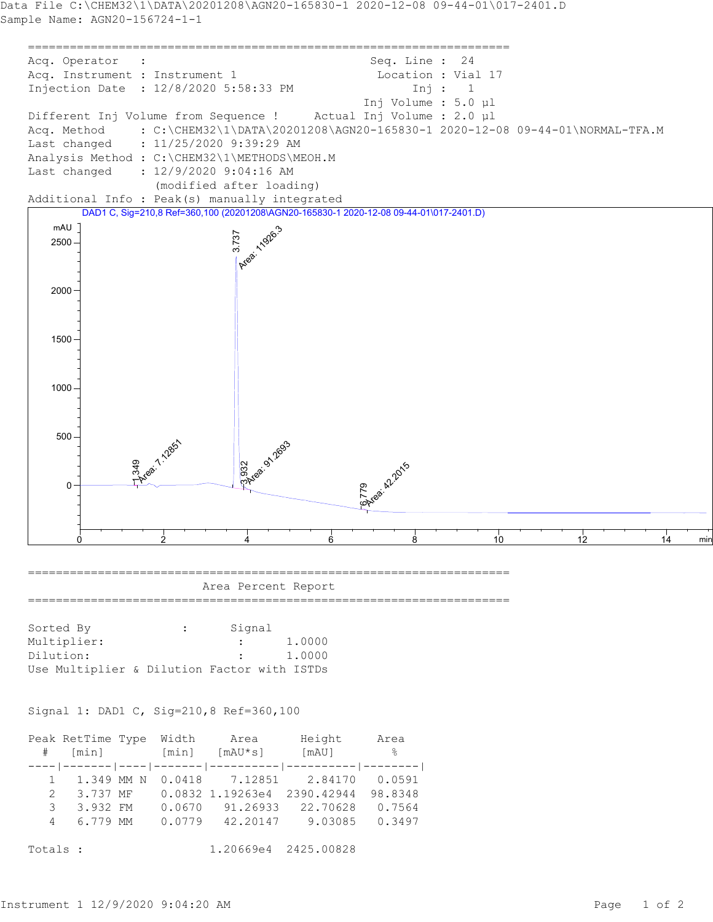

Totals : 1.20669e4 2425.00828